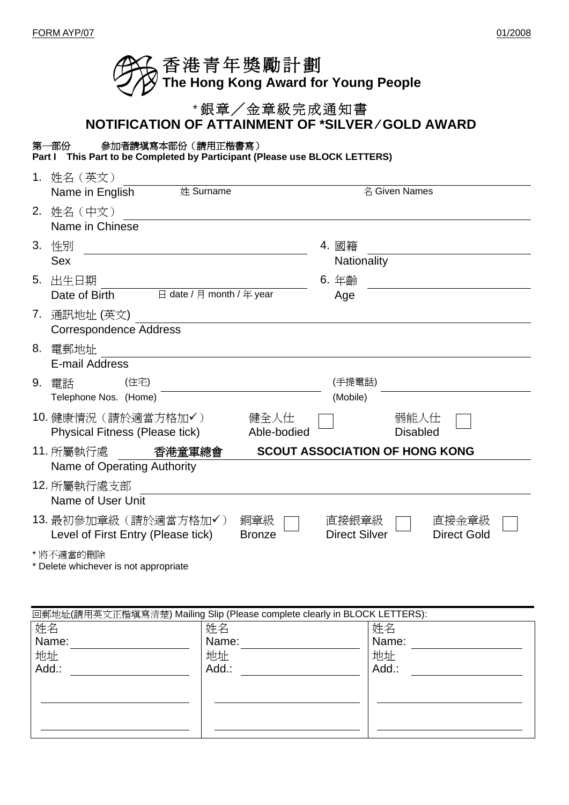| ◯◯ 香港青年獎勵計劃<br>◯◯ The Hong Kong Award for Young People |
|--------------------------------------------------------|
|                                                        |

## \* 銀章╱金章級完成通知書

**NOTIFICATION OF ATTAINMENT OF \*SILVER ⁄ GOLD AWARD** 

## 第一部份參加者請填寫本部份(請用正楷書寫)

**Part I This Part to be Completed by Participant (Please use BLOCK LETTERS)**

| 1. | 姓名(英文)                                                                |               |                      |                                       |  |
|----|-----------------------------------------------------------------------|---------------|----------------------|---------------------------------------|--|
|    | 姓 Surname<br>Name in English                                          |               |                      | 名 Given Names                         |  |
|    | 2. 姓名 (中文)                                                            |               |                      |                                       |  |
|    | Name in Chinese                                                       |               |                      |                                       |  |
|    | 3. 性別                                                                 |               | 4. 國籍                |                                       |  |
|    | <b>Sex</b>                                                            |               | Nationality          |                                       |  |
| 5. | 出生日期                                                                  |               | 6. 年齡                |                                       |  |
|    | $\boxminus$ date / $\boxminus$ month / $\oplus$ year<br>Date of Birth |               | Age                  |                                       |  |
|    | 7. 通訊地址 (英文)                                                          |               |                      |                                       |  |
|    | <b>Correspondence Address</b>                                         |               |                      |                                       |  |
|    | 8. 電郵地址                                                               |               |                      |                                       |  |
|    | E-mail Address                                                        |               |                      |                                       |  |
|    | (住宅)<br>9. 雷話                                                         |               | (手提電話)               |                                       |  |
|    | Telephone Nos. (Home)                                                 |               | (Mobile)             |                                       |  |
|    | 10. 健康情況 (請於適當方格加√)                                                   | 健全人仕          |                      | 弱能人仕                                  |  |
|    | <b>Physical Fitness (Please tick)</b>                                 | Able-bodied   |                      | <b>Disabled</b>                       |  |
|    | 11. 所屬執行處<br>香港童軍總會                                                   |               |                      | <b>SCOUT ASSOCIATION OF HONG KONG</b> |  |
|    | Name of Operating Authority                                           |               |                      |                                       |  |
|    | 12. 所屬執行處支部                                                           |               |                      |                                       |  |
|    | Name of User Unit                                                     |               |                      |                                       |  |
|    | 13. 最初參加章級(請於適當方格加✔)                                                  | 銅章級           | 直接銀章級                | 直接金章級                                 |  |
|    | Level of First Entry (Please tick)                                    | <b>Bronze</b> | <b>Direct Silver</b> | <b>Direct Gold</b>                    |  |
|    | * 將不適當的刪除                                                             |               |                      |                                       |  |

\* Delete whichever is not appropriate

| 回郵地址(請用英文正楷填寫清楚) Mailing Slip (Please complete clearly in BLOCK LETTERS): |       |       |  |
|---------------------------------------------------------------------------|-------|-------|--|
| 姓名                                                                        | 姓名    | 姓名    |  |
| Name:                                                                     | Name: | Name: |  |
| 地址                                                                        | 地址    | 地址    |  |
| Add.:                                                                     | Add.: | Add.: |  |
|                                                                           |       |       |  |
|                                                                           |       |       |  |
|                                                                           |       |       |  |
|                                                                           |       |       |  |
|                                                                           |       |       |  |